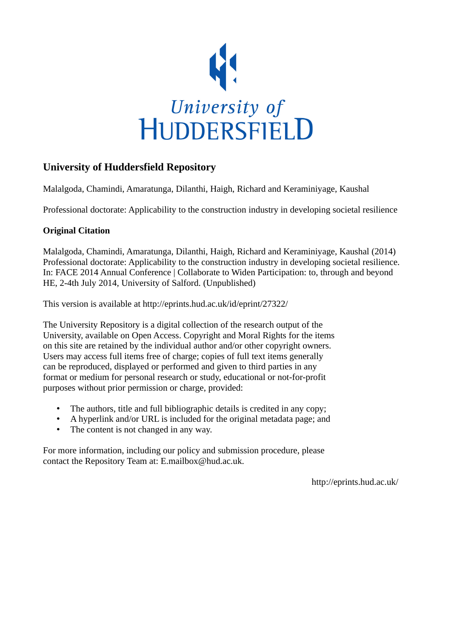

## **University of Huddersfield Repository**

Malalgoda, Chamindi, Amaratunga, Dilanthi, Haigh, Richard and Keraminiyage, Kaushal

Professional doctorate: Applicability to the construction industry in developing societal resilience

## **Original Citation**

Malalgoda, Chamindi, Amaratunga, Dilanthi, Haigh, Richard and Keraminiyage, Kaushal (2014) Professional doctorate: Applicability to the construction industry in developing societal resilience. In: FACE 2014 Annual Conference | Collaborate to Widen Participation: to, through and beyond HE, 2-4th July 2014, University of Salford. (Unpublished)

This version is available at http://eprints.hud.ac.uk/id/eprint/27322/

The University Repository is a digital collection of the research output of the University, available on Open Access. Copyright and Moral Rights for the items on this site are retained by the individual author and/or other copyright owners. Users may access full items free of charge; copies of full text items generally can be reproduced, displayed or performed and given to third parties in any format or medium for personal research or study, educational or not-for-profit purposes without prior permission or charge, provided:

- The authors, title and full bibliographic details is credited in any copy;
- A hyperlink and/or URL is included for the original metadata page; and
- The content is not changed in any way.

For more information, including our policy and submission procedure, please contact the Repository Team at: E.mailbox@hud.ac.uk.

http://eprints.hud.ac.uk/